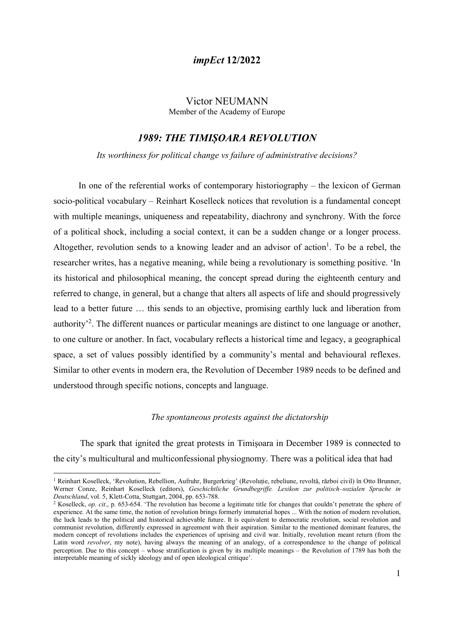#### Victor NEUMANN Member of the Academy of Europe

# 1989: THE TIMIȘOARA REVOLUTION

Its worthiness for political change vs failure of administrative decisions?

In one of the referential works of contemporary historiography – the lexicon of German socio-political vocabulary – Reinhart Koselleck notices that revolution is a fundamental concept with multiple meanings, uniqueness and repeatability, diachrony and synchrony. With the force of a political shock, including a social context, it can be a sudden change or a longer process. Altogether, revolution sends to a knowing leader and an advisor of action<sup>1</sup>. To be a rebel, the researcher writes, has a negative meaning, while being a revolutionary is something positive. 'In its historical and philosophical meaning, the concept spread during the eighteenth century and referred to change, in general, but a change that alters all aspects of life and should progressively lead to a better future … this sends to an objective, promising earthly luck and liberation from authority<sup>2</sup>. The different nuances or particular meanings are distinct to one language or another, to one culture or another. In fact, vocabulary reflects a historical time and legacy, a geographical space, a set of values possibly identified by a community's mental and behavioural reflexes. Similar to other events in modern era, the Revolution of December 1989 needs to be defined and understood through specific notions, concepts and language.

#### The spontaneous protests against the dictatorship

The spark that ignited the great protests in Timișoara in December 1989 is connected to the city's multicultural and multiconfessional physiognomy. There was a political idea that had

<sup>1</sup> Reinhart Koselleck, 'Revolution, Rebellion, Aufruhr, Burgerkrieg' (Revoluție, rebeliune, revoltă, război civil) în Otto Brunner, Werner Conze, Reinhart Koselleck (editors), Geschichtliche Grundbegriffe. Lexikon zur politisch–sozialen Sprache in Deutschland, vol. 5, Klett-Cotta, Stuttgart, 2004, pp. 653-788.

<sup>&</sup>lt;sup>2</sup> Koselleck, op. cit., p. 653-654. 'The revolution has become a legitimate title for changes that couldn't penetrate the sphere of experience. At the same time, the notion of revolution brings formerly immaterial hopes ... With the notion of modern revolution, the luck leads to the political and historical achievable future. It is equivalent to democratic revolution, social revolution and communist revolution, differently expressed in agreement with their aspiration. Similar to the mentioned dominant features, the modern concept of revolutions includes the experiences of uprising and civil war. Initially, revolution meant return (from the Latin word *revolver*, my note), having always the meaning of an analogy, of a correspondence to the change of political perception. Due to this concept – whose stratification is given by its multiple meanings – the Revolution of 1789 has both the interpretable meaning of sickly ideology and of open ideological critique'.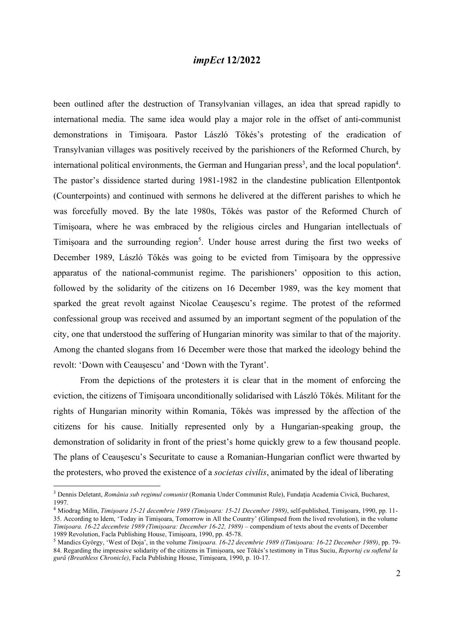been outlined after the destruction of Transylvanian villages, an idea that spread rapidly to international media. The same idea would play a major role in the offset of anti-communist demonstrations in Timișoara. Pastor László Tőkés's protesting of the eradication of Transylvanian villages was positively received by the parishioners of the Reformed Church, by international political environments, the German and Hungarian press<sup>3</sup>, and the local population<sup>4</sup>. The pastor's dissidence started during 1981-1982 in the clandestine publication Ellentpontok (Counterpoints) and continued with sermons he delivered at the different parishes to which he was forcefully moved. By the late 1980s, Tőkés was pastor of the Reformed Church of Timișoara, where he was embraced by the religious circles and Hungarian intellectuals of Timișoara and the surrounding region<sup>5</sup>. Under house arrest during the first two weeks of December 1989, László Tőkés was going to be evicted from Timișoara by the oppressive apparatus of the national-communist regime. The parishioners' opposition to this action, followed by the solidarity of the citizens on 16 December 1989, was the key moment that sparked the great revolt against Nicolae Ceaușescu's regime. The protest of the reformed confessional group was received and assumed by an important segment of the population of the city, one that understood the suffering of Hungarian minority was similar to that of the majority. Among the chanted slogans from 16 December were those that marked the ideology behind the revolt: 'Down with Ceaușescu' and 'Down with the Tyrant'.

 From the depictions of the protesters it is clear that in the moment of enforcing the eviction, the citizens of Timișoara unconditionally solidarised with László Tőkés. Militant for the rights of Hungarian minority within Romania, Tőkés was impressed by the affection of the citizens for his cause. Initially represented only by a Hungarian-speaking group, the demonstration of solidarity in front of the priest's home quickly grew to a few thousand people. The plans of Ceaușescu's Securitate to cause a Romanian-Hungarian conflict were thwarted by the protesters, who proved the existence of a societas civilis, animated by the ideal of liberating

<sup>&</sup>lt;sup>3</sup> Dennis Deletant, România sub regimul comunist (Romania Under Communist Rule), Fundația Academia Civică, Bucharest, 1997.

<sup>4</sup> Miodrag Milin, Timişoara 15-21 decembrie 1989 (Timișoara: 15-21 December 1989), self-published, Timişoara, 1990, pp. 11- 35. According to Idem, 'Today in Timișoara, Tomorrow in All the Country' (Glimpsed from the lived revolution), in the volume Timişoara. 16-22 decembrie 1989 (Timișoara: December 16-22, 1989) – compendium of texts about the events of December 1989 Revolution, Facla Publishing House, Timişoara, 1990, pp. 45-78.

<sup>5</sup> Mandics György, 'West of Doja', in the volume Timişoara. 16-22 decembrie 1989 ((Timișoara: 16-22 December 1989), pp. 79- 84. Regarding the impressive solidarity of the citizens in Timișoara, see Tökés's testimony in Titus Suciu, Reportaj cu sufletul la gură (Breathless Chronicle), Facla Publishing House, Timişoara, 1990, p. 10-17.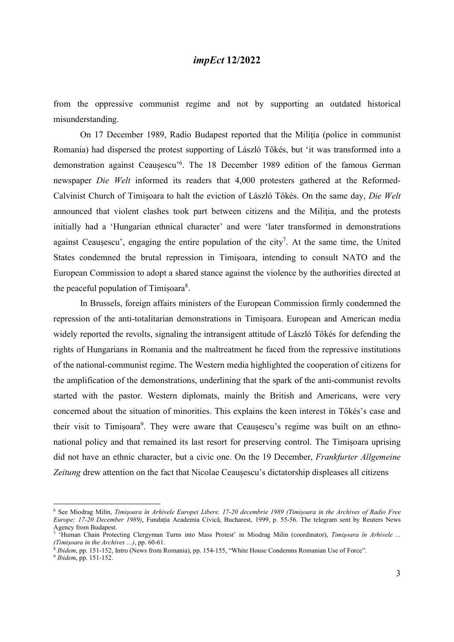from the oppressive communist regime and not by supporting an outdated historical misunderstanding.

On 17 December 1989, Radio Budapest reported that the Militia (police in communist Romania) had dispersed the protest supporting of László Tőkés, but 'it was transformed into a demonstration against Ceaușescu'<sup>6</sup> . The 18 December 1989 edition of the famous German newspaper Die Welt informed its readers that 4,000 protesters gathered at the Reformed-Calvinist Church of Timișoara to halt the eviction of László Tőkés. On the same day, Die Welt announced that violent clashes took part between citizens and the Miliţia, and the protests initially had a 'Hungarian ethnical character' and were 'later transformed in demonstrations against Ceaușescu', engaging the entire population of the city<sup>7</sup>. At the same time, the United States condemned the brutal repression in Timișoara, intending to consult NATO and the European Commission to adopt a shared stance against the violence by the authorities directed at the peaceful population of Timișoara $8$ .

 In Brussels, foreign affairs ministers of the European Commission firmly condemned the repression of the anti-totalitarian demonstrations in Timișoara. European and American media widely reported the revolts, signaling the intransigent attitude of László Tőkés for defending the rights of Hungarians in Romania and the maltreatment he faced from the repressive institutions of the national-communist regime. The Western media highlighted the cooperation of citizens for the amplification of the demonstrations, underlining that the spark of the anti-communist revolts started with the pastor. Western diplomats, mainly the British and Americans, were very concerned about the situation of minorities. This explains the keen interest in Tőkés's case and their visit to Timișoara<sup>9</sup>. They were aware that Ceaușescu's regime was built on an ethnonational policy and that remained its last resort for preserving control. The Timișoara uprising did not have an ethnic character, but a civic one. On the 19 December, *Frankfurter Allgemeine* Zeitung drew attention on the fact that Nicolae Ceaușescu's dictatorship displeases all citizens

<sup>6</sup> See Miodrag Milin, Timişoara în Arhivele Europei Libere. 17-20 decembrie 1989 (Timișoara in the Archives of Radio Free Europe; 17-20 December 1989), Fundația Academia Civică, Bucharest, 1999, p. 55-56. The telegram sent by Reuters News Agency from Budapest.

<sup>&</sup>lt;sup>7</sup> 'Human Chain Protecting Clergyman Turns into Mass Protest' in Miodrag Milin (coordinator), Timişoara în Arhivele ... (Timișoara in the Archives …), pp. 60-61.

<sup>&</sup>lt;sup>8</sup> Ibidem, pp. 151-152, Intro (News from Romania), pp. 154-155, "White House Condemns Romanian Use of Force".

<sup>&</sup>lt;sup>9</sup> Ibidem, pp. 151-152.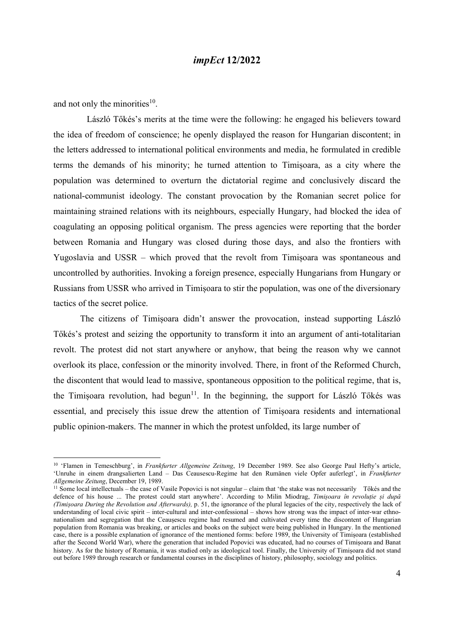and not only the minorities<sup>10</sup>.

 László Tőkés's merits at the time were the following: he engaged his believers toward the idea of freedom of conscience; he openly displayed the reason for Hungarian discontent; in the letters addressed to international political environments and media, he formulated in credible terms the demands of his minority; he turned attention to Timișoara, as a city where the population was determined to overturn the dictatorial regime and conclusively discard the national-communist ideology. The constant provocation by the Romanian secret police for maintaining strained relations with its neighbours, especially Hungary, had blocked the idea of coagulating an opposing political organism. The press agencies were reporting that the border between Romania and Hungary was closed during those days, and also the frontiers with Yugoslavia and USSR – which proved that the revolt from Timișoara was spontaneous and uncontrolled by authorities. Invoking a foreign presence, especially Hungarians from Hungary or Russians from USSR who arrived in Timișoara to stir the population, was one of the diversionary tactics of the secret police.

 The citizens of Timișoara didn't answer the provocation, instead supporting László Tőkés's protest and seizing the opportunity to transform it into an argument of anti-totalitarian revolt. The protest did not start anywhere or anyhow, that being the reason why we cannot overlook its place, confession or the minority involved. There, in front of the Reformed Church, the discontent that would lead to massive, spontaneous opposition to the political regime, that is, the Timișoara revolution, had begun<sup>11</sup>. In the beginning, the support for László Tőkés was essential, and precisely this issue drew the attention of Timișoara residents and international public opinion-makers. The manner in which the protest unfolded, its large number of

<sup>&</sup>lt;sup>10</sup> 'Flamen in Temeschburg', in Frankfurter Allgemeine Zeitung, 19 December 1989. See also George Paul Hefty's article, 'Unruhe in einem drangsalierten Land – Das Ceausescu-Regime hat den Rumänen viele Opfer auferlegt', in Frankfurter Allgemeine Zeitung, December 19, 1989.

<sup>&</sup>lt;sup>11</sup> Some local intellectuals – the case of Vasile Popovici is not singular – claim that 'the stake was not necessarily Tőkés and the defence of his house ... The protest could start anywhere'. According to Milin Miodrag, Timișoara în revoluție și după (Timișoara During the Revolution and Afterwards), p. 51, the ignorance of the plural legacies of the city, respectively the lack of understanding of local civic spirit – inter-cultural and inter-confessional – shows how strong was the impact of inter-war ethnonationalism and segregation that the Ceaușescu regime had resumed and cultivated every time the discontent of Hungarian population from Romania was breaking, or articles and books on the subject were being published in Hungary. In the mentioned case, there is a possible explanation of ignorance of the mentioned forms: before 1989, the University of Timișoara (established after the Second World War), where the generation that included Popovici was educated, had no courses of Timișoara and Banat history. As for the history of Romania, it was studied only as ideological tool. Finally, the University of Timișoara did not stand out before 1989 through research or fundamental courses in the disciplines of history, philosophy, sociology and politics.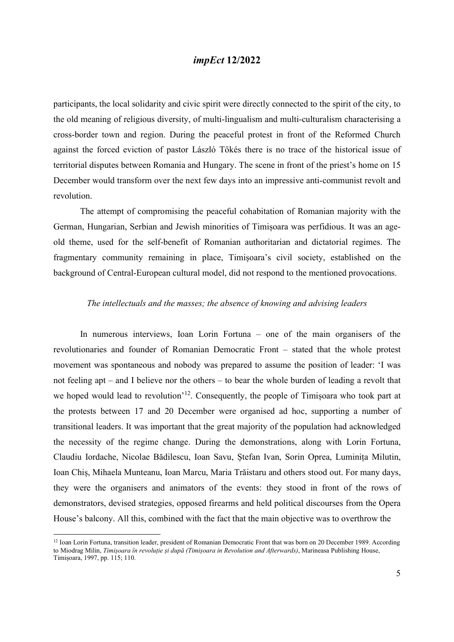participants, the local solidarity and civic spirit were directly connected to the spirit of the city, to the old meaning of religious diversity, of multi-lingualism and multi-culturalism characterising a cross-border town and region. During the peaceful protest in front of the Reformed Church against the forced eviction of pastor László Tőkés there is no trace of the historical issue of territorial disputes between Romania and Hungary. The scene in front of the priest's home on 15 December would transform over the next few days into an impressive anti-communist revolt and revolution.

 The attempt of compromising the peaceful cohabitation of Romanian majority with the German, Hungarian, Serbian and Jewish minorities of Timișoara was perfidious. It was an ageold theme, used for the self-benefit of Romanian authoritarian and dictatorial regimes. The fragmentary community remaining in place, Timișoara's civil society, established on the background of Central-European cultural model, did not respond to the mentioned provocations.

#### The intellectuals and the masses; the absence of knowing and advising leaders

 In numerous interviews, Ioan Lorin Fortuna – one of the main organisers of the revolutionaries and founder of Romanian Democratic Front – stated that the whole protest movement was spontaneous and nobody was prepared to assume the position of leader: 'I was not feeling apt – and I believe nor the others – to bear the whole burden of leading a revolt that we hoped would lead to revolution<sup>'12</sup>. Consequently, the people of Timișoara who took part at the protests between 17 and 20 December were organised ad hoc, supporting a number of transitional leaders. It was important that the great majority of the population had acknowledged the necessity of the regime change. During the demonstrations, along with Lorin Fortuna, Claudiu Iordache, Nicolae Bădilescu, Ioan Savu, Ștefan Ivan, Sorin Oprea, Luminița Milutin, Ioan Chiș, Mihaela Munteanu, Ioan Marcu, Maria Trăistaru and others stood out. For many days, they were the organisers and animators of the events: they stood in front of the rows of demonstrators, devised strategies, opposed firearms and held political discourses from the Opera House's balcony. All this, combined with the fact that the main objective was to overthrow the

<sup>&</sup>lt;sup>12</sup> Ioan Lorin Fortuna, transition leader, president of Romanian Democratic Front that was born on 20 December 1989. According to Miodrag Milin, Timișoara în revoluție și după (Timișoara in Revolution and Afterwards), Marineasa Publishing House, Timișoara, 1997, pp. 115; 110.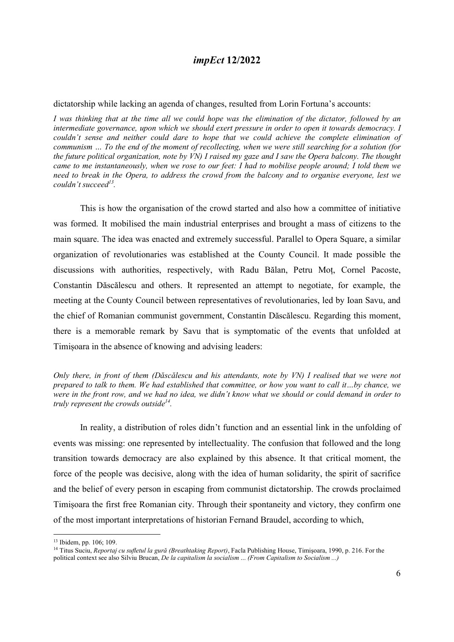#### dictatorship while lacking an agenda of changes, resulted from Lorin Fortuna's accounts:

I was thinking that at the time all we could hope was the elimination of the dictator, followed by an intermediate governance, upon which we should exert pressure in order to open it towards democracy. I couldn't sense and neither could dare to hope that we could achieve the complete elimination of communism … To the end of the moment of recollecting, when we were still searching for a solution (for the future political organization, note by VN) I raised my gaze and I saw the Opera balcony. The thought came to me instantaneously, when we rose to our feet: I had to mobilise people around; I told them we need to break in the Opera, to address the crowd from the balcony and to organise everyone, lest we couldn't succeed<sup>13</sup>.

This is how the organisation of the crowd started and also how a committee of initiative was formed. It mobilised the main industrial enterprises and brought a mass of citizens to the main square. The idea was enacted and extremely successful. Parallel to Opera Square, a similar organization of revolutionaries was established at the County Council. It made possible the discussions with authorities, respectively, with Radu Bălan, Petru Moț, Cornel Pacoste, Constantin Dăscălescu and others. It represented an attempt to negotiate, for example, the meeting at the County Council between representatives of revolutionaries, led by Ioan Savu, and the chief of Romanian communist government, Constantin Dăscălescu. Regarding this moment, there is a memorable remark by Savu that is symptomatic of the events that unfolded at Timișoara in the absence of knowing and advising leaders:

Only there, in front of them (Dăscălescu and his attendants, note by VN) I realised that we were not prepared to talk to them. We had established that committee, or how you want to call it…by chance, we were in the front row, and we had no idea, we didn't know what we should or could demand in order to truly represent the crowds outside<sup>14</sup>.

In reality, a distribution of roles didn't function and an essential link in the unfolding of events was missing: one represented by intellectuality. The confusion that followed and the long transition towards democracy are also explained by this absence. It that critical moment, the force of the people was decisive, along with the idea of human solidarity, the spirit of sacrifice and the belief of every person in escaping from communist dictatorship. The crowds proclaimed Timișoara the first free Romanian city. Through their spontaneity and victory, they confirm one of the most important interpretations of historian Fernand Braudel, according to which,

<sup>13</sup> Ibidem, pp. 106; 109.

<sup>&</sup>lt;sup>14</sup> Titus Suciu, Reportaj cu sufletul la gură (Breathtaking Report), Facla Publishing House, Timișoara, 1990, p. 216. For the political context see also Silviu Brucan, De la capitalism la socialism ... (From Capitalism to Socialism ...)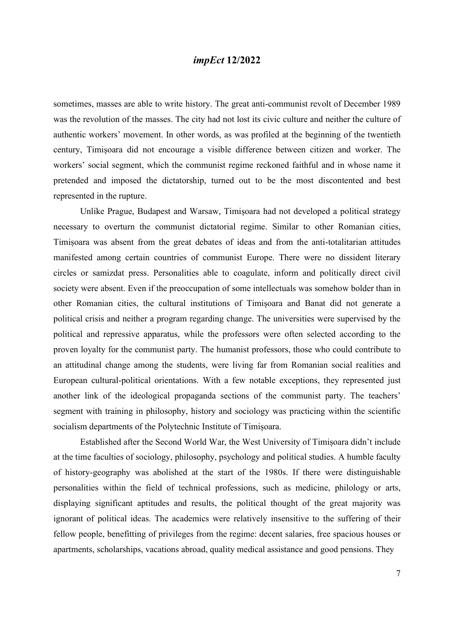sometimes, masses are able to write history. The great anti-communist revolt of December 1989 was the revolution of the masses. The city had not lost its civic culture and neither the culture of authentic workers' movement. In other words, as was profiled at the beginning of the twentieth century, Timișoara did not encourage a visible difference between citizen and worker. The workers' social segment, which the communist regime reckoned faithful and in whose name it pretended and imposed the dictatorship, turned out to be the most discontented and best represented in the rupture.

Unlike Prague, Budapest and Warsaw, Timișoara had not developed a political strategy necessary to overturn the communist dictatorial regime. Similar to other Romanian cities, Timișoara was absent from the great debates of ideas and from the anti-totalitarian attitudes manifested among certain countries of communist Europe. There were no dissident literary circles or samizdat press. Personalities able to coagulate, inform and politically direct civil society were absent. Even if the preoccupation of some intellectuals was somehow bolder than in other Romanian cities, the cultural institutions of Timișoara and Banat did not generate a political crisis and neither a program regarding change. The universities were supervised by the political and repressive apparatus, while the professors were often selected according to the proven loyalty for the communist party. The humanist professors, those who could contribute to an attitudinal change among the students, were living far from Romanian social realities and European cultural-political orientations. With a few notable exceptions, they represented just another link of the ideological propaganda sections of the communist party. The teachers' segment with training in philosophy, history and sociology was practicing within the scientific socialism departments of the Polytechnic Institute of Timișoara.

 Established after the Second World War, the West University of Timișoara didn't include at the time faculties of sociology, philosophy, psychology and political studies. A humble faculty of history-geography was abolished at the start of the 1980s. If there were distinguishable personalities within the field of technical professions, such as medicine, philology or arts, displaying significant aptitudes and results, the political thought of the great majority was ignorant of political ideas. The academics were relatively insensitive to the suffering of their fellow people, benefitting of privileges from the regime: decent salaries, free spacious houses or apartments, scholarships, vacations abroad, quality medical assistance and good pensions. They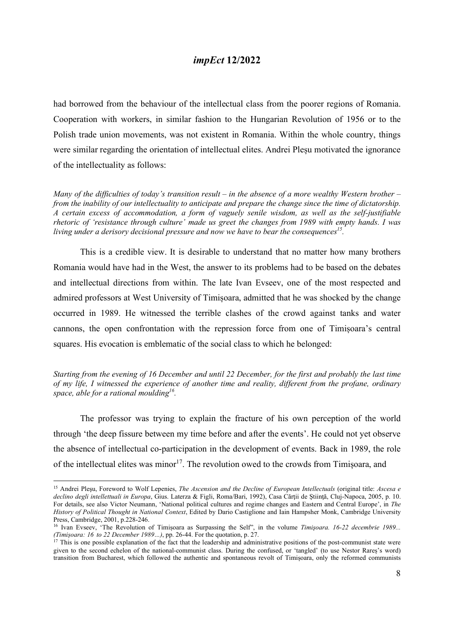had borrowed from the behaviour of the intellectual class from the poorer regions of Romania. Cooperation with workers, in similar fashion to the Hungarian Revolution of 1956 or to the Polish trade union movements, was not existent in Romania. Within the whole country, things were similar regarding the orientation of intellectual elites. Andrei Plesu motivated the ignorance of the intellectuality as follows:

Many of the difficulties of today's transition result – in the absence of a more wealthy Western brother – from the inability of our intellectuality to anticipate and prepare the change since the time of dictatorship. A certain excess of accommodation, a form of vaguely senile wisdom, as well as the self-justifiable rhetoric of 'resistance through culture' made us greet the changes from 1989 with empty hands. I was living under a derisory decisional pressure and now we have to bear the consequences<sup>15</sup>.

This is a credible view. It is desirable to understand that no matter how many brothers Romania would have had in the West, the answer to its problems had to be based on the debates and intellectual directions from within. The late Ivan Evseev, one of the most respected and admired professors at West University of Timișoara, admitted that he was shocked by the change occurred in 1989. He witnessed the terrible clashes of the crowd against tanks and water cannons, the open confrontation with the repression force from one of Timișoara's central squares. His evocation is emblematic of the social class to which he belonged:

Starting from the evening of 16 December and until 22 December, for the first and probably the last time of my life, I witnessed the experience of another time and reality, different from the profane, ordinary space, able for a rational moulding<sup>16</sup>.

The professor was trying to explain the fracture of his own perception of the world through 'the deep fissure between my time before and after the events'. He could not yet observe the absence of intellectual co-participation in the development of events. Back in 1989, the role of the intellectual elites was minor<sup>17</sup>. The revolution owed to the crowds from Timisoara, and

<sup>&</sup>lt;sup>15</sup> Andrei Pleșu, Foreword to Wolf Lepenies, The Ascension and the Decline of European Intellectuals (original title: Ascesa e declino degli intellettuali in Europa, Gius. Laterza & Figli, Roma/Bari, 1992), Casa Cărții de Știință, Cluj-Napoca, 2005, p. 10. For details, see also Victor Neumann, 'National political cultures and regime changes and Eastern and Central Europe', in The History of Political Thought in National Context, Edited by Dario Castiglione and Iain Hampsher Monk, Cambridge University Press, Cambridge, 2001, p.228-246.

<sup>&</sup>lt;sup>16</sup> Ivan Evseev, 'The Revolution of Timișoara as Surpassing the Self", in the volume Timișoara. 16-22 decembrie 1989... (Timișoara: 16 to 22 December 1989…), pp. 26-44. For the quotation, p. 27.

 $17$  This is one possible explanation of the fact that the leadership and administrative positions of the post-communist state were given to the second echelon of the national-communist class. During the confused, or 'tangled' (to use Nestor Rareș's word) transition from Bucharest, which followed the authentic and spontaneous revolt of Timișoara, only the reformed communists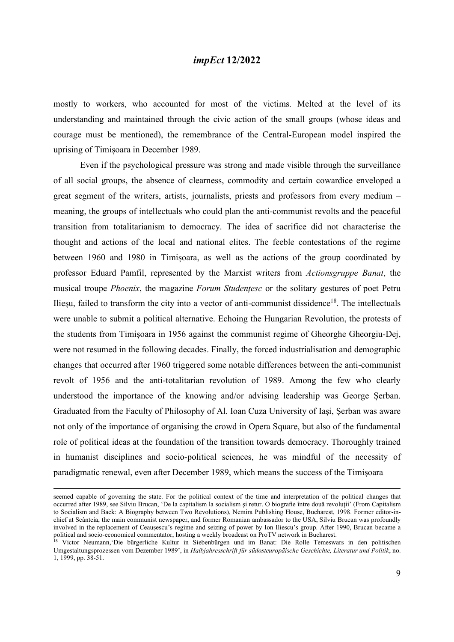mostly to workers, who accounted for most of the victims. Melted at the level of its understanding and maintained through the civic action of the small groups (whose ideas and courage must be mentioned), the remembrance of the Central-European model inspired the uprising of Timișoara in December 1989.

 Even if the psychological pressure was strong and made visible through the surveillance of all social groups, the absence of clearness, commodity and certain cowardice enveloped a great segment of the writers, artists, journalists, priests and professors from every medium – meaning, the groups of intellectuals who could plan the anti-communist revolts and the peaceful transition from totalitarianism to democracy. The idea of sacrifice did not characterise the thought and actions of the local and national elites. The feeble contestations of the regime between 1960 and 1980 in Timișoara, as well as the actions of the group coordinated by professor Eduard Pamfil, represented by the Marxist writers from Actionsgruppe Banat, the musical troupe Phoenix, the magazine Forum Studențesc or the solitary gestures of poet Petru Ilieșu, failed to transform the city into a vector of anti-communist dissidence<sup>18</sup>. The intellectuals were unable to submit a political alternative. Echoing the Hungarian Revolution, the protests of the students from Timișoara in 1956 against the communist regime of Gheorghe Gheorgiu-Dej, were not resumed in the following decades. Finally, the forced industrialisation and demographic changes that occurred after 1960 triggered some notable differences between the anti-communist revolt of 1956 and the anti-totalitarian revolution of 1989. Among the few who clearly understood the importance of the knowing and/or advising leadership was George Șerban. Graduated from the Faculty of Philosophy of Al. Ioan Cuza University of Iași, Șerban was aware not only of the importance of organising the crowd in Opera Square, but also of the fundamental role of political ideas at the foundation of the transition towards democracy. Thoroughly trained in humanist disciplines and socio-political sciences, he was mindful of the necessity of paradigmatic renewal, even after December 1989, which means the success of the Timișoara

seemed capable of governing the state. For the political context of the time and interpretation of the political changes that occurred after 1989, see Silviu Brucan, 'De la capitalism la socialism şi retur. O biografie între două revoluţii' (From Capitalism to Socialism and Back: A Biography between Two Revolutions), Nemira Publishing House, Bucharest, 1998. Former editor-inchief at Scânteia, the main communist newspaper, and former Romanian ambassador to the USA, Silviu Brucan was profoundly involved in the replacement of Ceaușescu's regime and seizing of power by Ion Iliescu's group. After 1990, Brucan became a political and socio-economical commentator, hosting a weekly broadcast on ProTV network in Bucharest.

<sup>&</sup>lt;sup>18</sup> Victor Neumann, 'Die bürgerliche Kultur in Siebenbürgen und im Banat: Die Rolle Temeswars in den politischen Umgestaltungsprozessen vom Dezember 1989', in Halbjahresschrift für südosteuropäische Geschichte, Literatur und Politik, no. 1, 1999, pp. 38-51.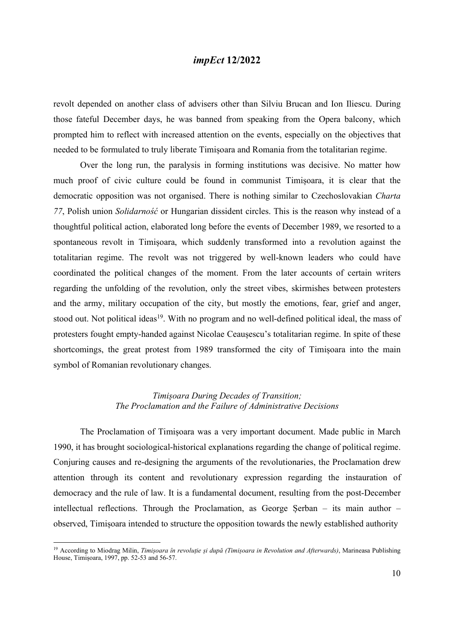revolt depended on another class of advisers other than Silviu Brucan and Ion Iliescu. During those fateful December days, he was banned from speaking from the Opera balcony, which prompted him to reflect with increased attention on the events, especially on the objectives that needed to be formulated to truly liberate Timișoara and Romania from the totalitarian regime.

 Over the long run, the paralysis in forming institutions was decisive. No matter how much proof of civic culture could be found in communist Timișoara, it is clear that the democratic opposition was not organised. There is nothing similar to Czechoslovakian Charta 77, Polish union Solidarność or Hungarian dissident circles. This is the reason why instead of a thoughtful political action, elaborated long before the events of December 1989, we resorted to a spontaneous revolt in Timișoara, which suddenly transformed into a revolution against the totalitarian regime. The revolt was not triggered by well-known leaders who could have coordinated the political changes of the moment. From the later accounts of certain writers regarding the unfolding of the revolution, only the street vibes, skirmishes between protesters and the army, military occupation of the city, but mostly the emotions, fear, grief and anger, stood out. Not political ideas<sup>19</sup>. With no program and no well-defined political ideal, the mass of protesters fought empty-handed against Nicolae Ceaușescu's totalitarian regime. In spite of these shortcomings, the great protest from 1989 transformed the city of Timișoara into the main symbol of Romanian revolutionary changes.

#### Timișoara During Decades of Transition; The Proclamation and the Failure of Administrative Decisions

 The Proclamation of Timișoara was a very important document. Made public in March 1990, it has brought sociological-historical explanations regarding the change of political regime. Conjuring causes and re-designing the arguments of the revolutionaries, the Proclamation drew attention through its content and revolutionary expression regarding the instauration of democracy and the rule of law. It is a fundamental document, resulting from the post-December intellectual reflections. Through the Proclamation, as George Șerban – its main author – observed, Timișoara intended to structure the opposition towards the newly established authority

<sup>&</sup>lt;sup>19</sup> According to Miodrag Milin, Timișoara în revoluție și după (Timișoara in Revolution and Afterwards), Marineasa Publishing House, Timișoara, 1997, pp. 52-53 and 56-57.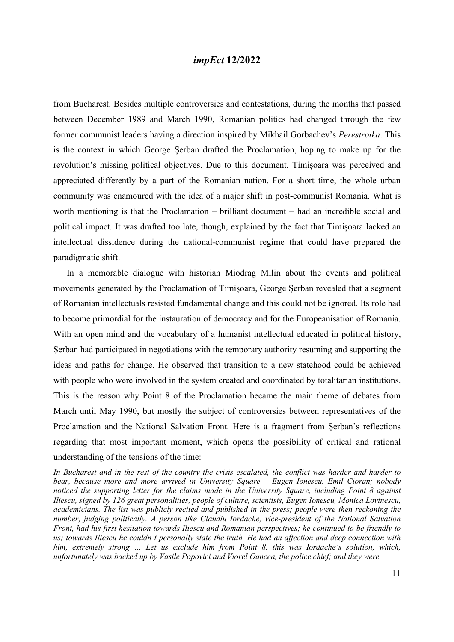from Bucharest. Besides multiple controversies and contestations, during the months that passed between December 1989 and March 1990, Romanian politics had changed through the few former communist leaders having a direction inspired by Mikhail Gorbachev's Perestroika. This is the context in which George Șerban drafted the Proclamation, hoping to make up for the revolution's missing political objectives. Due to this document, Timișoara was perceived and appreciated differently by a part of the Romanian nation. For a short time, the whole urban community was enamoured with the idea of a major shift in post-communist Romania. What is worth mentioning is that the Proclamation – brilliant document – had an incredible social and political impact. It was drafted too late, though, explained by the fact that Timișoara lacked an intellectual dissidence during the national-communist regime that could have prepared the paradigmatic shift.

 In a memorable dialogue with historian Miodrag Milin about the events and political movements generated by the Proclamation of Timișoara, George Șerban revealed that a segment of Romanian intellectuals resisted fundamental change and this could not be ignored. Its role had to become primordial for the instauration of democracy and for the Europeanisation of Romania. With an open mind and the vocabulary of a humanist intellectual educated in political history, Șerban had participated in negotiations with the temporary authority resuming and supporting the ideas and paths for change. He observed that transition to a new statehood could be achieved with people who were involved in the system created and coordinated by totalitarian institutions. This is the reason why Point 8 of the Proclamation became the main theme of debates from March until May 1990, but mostly the subject of controversies between representatives of the Proclamation and the National Salvation Front. Here is a fragment from Șerban's reflections regarding that most important moment, which opens the possibility of critical and rational understanding of the tensions of the time:

In Bucharest and in the rest of the country the crisis escalated, the conflict was harder and harder to bear, because more and more arrived in University Square – Eugen Ionescu, Emil Cioran; nobody noticed the supporting letter for the claims made in the University Square, including Point 8 against Iliescu, signed by 126 great personalities, people of culture, scientists, Eugen Ionescu, Monica Lovinescu, academicians. The list was publicly recited and published in the press; people were then reckoning the number, judging politically. A person like Claudiu Iordache, vice-president of the National Salvation Front, had his first hesitation towards Iliescu and Romanian perspectives; he continued to be friendly to us; towards Iliescu he couldn't personally state the truth. He had an affection and deep connection with him, extremely strong ... Let us exclude him from Point 8, this was Iordache's solution, which, unfortunately was backed up by Vasile Popovici and Viorel Oancea, the police chief; and they were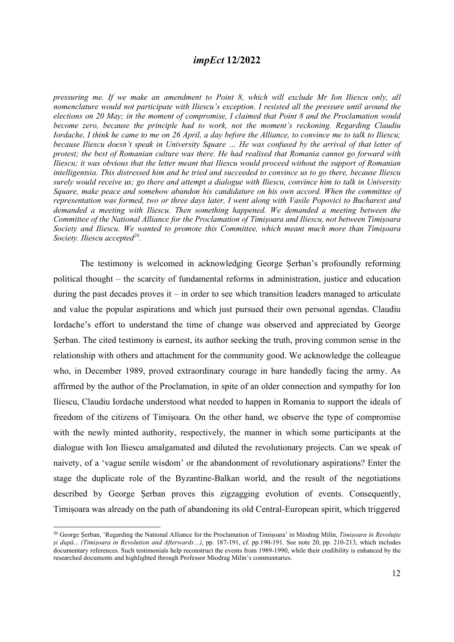pressuring me. If we make an amendment to Point 8, which will exclude Mr Ion Iliescu only, all nomenclature would not participate with Iliescu's exception. I resisted all the pressure until around the elections on 20 May; in the moment of compromise, I claimed that Point 8 and the Proclamation would become zero, because the principle had to work, not the moment's reckoning. Regarding Claudiu Iordache, I think he came to me on 26 April, a day before the Alliance, to convince me to talk to Iliescu; because Iliescu doesn't speak in University Square … He was confused by the arrival of that letter of protest; the best of Romanian culture was there. He had realised that Romania cannot go forward with Iliescu; it was obvious that the letter meant that Iliescu would proceed without the support of Romanian intelligentsia. This distressed him and he tried and succeeded to convince us to go there, because Iliescu surely would receive us; go there and attempt a dialogue with Iliescu, convince him to talk in University Square, make peace and somehow abandon his candidature on his own accord. When the committee of representation was formed, two or three days later, I went along with Vasile Popovici to Bucharest and demanded a meeting with Iliescu. Then something happened. We demanded a meeting between the Committee of the National Alliance for the Proclamation of Timișoara and Iliescu, not between Timișoara Society and Iliescu. We wanted to promote this Committee, which meant much more than Timișoara Society. Iliescu accepted $^{20}$ .

The testimony is welcomed in acknowledging George Șerban's profoundly reforming political thought – the scarcity of fundamental reforms in administration, justice and education during the past decades proves it – in order to see which transition leaders managed to articulate and value the popular aspirations and which just pursued their own personal agendas. Claudiu Iordache's effort to understand the time of change was observed and appreciated by George Șerban. The cited testimony is earnest, its author seeking the truth, proving common sense in the relationship with others and attachment for the community good. We acknowledge the colleague who, in December 1989, proved extraordinary courage in bare handedly facing the army. As affirmed by the author of the Proclamation, in spite of an older connection and sympathy for Ion Iliescu, Claudiu Iordache understood what needed to happen in Romania to support the ideals of freedom of the citizens of Timișoara. On the other hand, we observe the type of compromise with the newly minted authority, respectively, the manner in which some participants at the dialogue with Ion Iliescu amalgamated and diluted the revolutionary projects. Can we speak of naivety, of a 'vague senile wisdom' or the abandonment of revolutionary aspirations? Enter the stage the duplicate role of the Byzantine-Balkan world, and the result of the negotiations described by George Șerban proves this zigzagging evolution of events. Consequently, Timișoara was already on the path of abandoning its old Central-European spirit, which triggered

<sup>&</sup>lt;sup>20</sup> George Șerban, 'Regarding the National Alliance for the Proclamation of Timișoara' in Miodrag Milin, Timișoara în Revoluție și după... (Timișoara in Revolution and Afterwards…), pp. 187-191, cf. pp.190-191. See note 20, pp. 210-213, which includes documentary references. Such testimonials help reconstruct the events from 1989-1990, while their credibility is enhanced by the researched documents and highlighted through Professor Miodrag Milin's commentaries.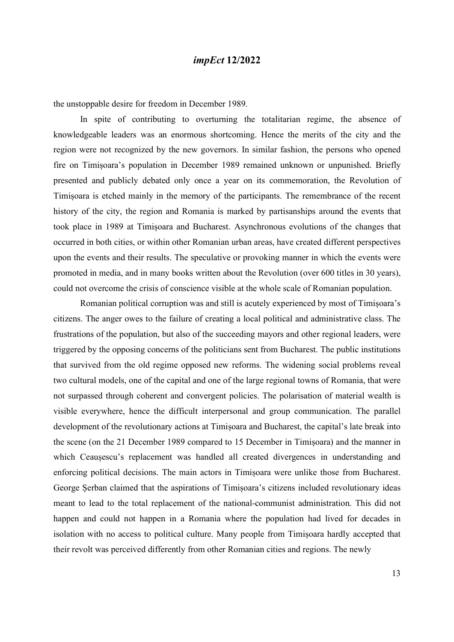the unstoppable desire for freedom in December 1989.

 In spite of contributing to overturning the totalitarian regime, the absence of knowledgeable leaders was an enormous shortcoming. Hence the merits of the city and the region were not recognized by the new governors. In similar fashion, the persons who opened fire on Timișoara's population in December 1989 remained unknown or unpunished. Briefly presented and publicly debated only once a year on its commemoration, the Revolution of Timișoara is etched mainly in the memory of the participants. The remembrance of the recent history of the city, the region and Romania is marked by partisanships around the events that took place in 1989 at Timișoara and Bucharest. Asynchronous evolutions of the changes that occurred in both cities, or within other Romanian urban areas, have created different perspectives upon the events and their results. The speculative or provoking manner in which the events were promoted in media, and in many books written about the Revolution (over 600 titles in 30 years), could not overcome the crisis of conscience visible at the whole scale of Romanian population.

 Romanian political corruption was and still is acutely experienced by most of Timișoara's citizens. The anger owes to the failure of creating a local political and administrative class. The frustrations of the population, but also of the succeeding mayors and other regional leaders, were triggered by the opposing concerns of the politicians sent from Bucharest. The public institutions that survived from the old regime opposed new reforms. The widening social problems reveal two cultural models, one of the capital and one of the large regional towns of Romania, that were not surpassed through coherent and convergent policies. The polarisation of material wealth is visible everywhere, hence the difficult interpersonal and group communication. The parallel development of the revolutionary actions at Timișoara and Bucharest, the capital's late break into the scene (on the 21 December 1989 compared to 15 December in Timișoara) and the manner in which Ceausescu's replacement was handled all created divergences in understanding and enforcing political decisions. The main actors in Timișoara were unlike those from Bucharest. George Șerban claimed that the aspirations of Timișoara's citizens included revolutionary ideas meant to lead to the total replacement of the national-communist administration. This did not happen and could not happen in a Romania where the population had lived for decades in isolation with no access to political culture. Many people from Timișoara hardly accepted that their revolt was perceived differently from other Romanian cities and regions. The newly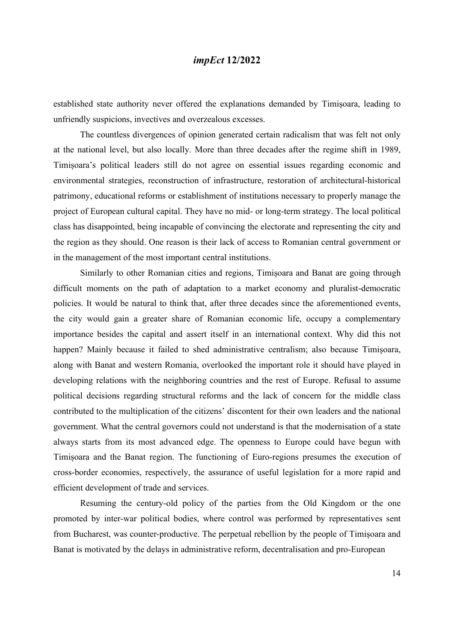established state authority never offered the explanations demanded by Timișoara, leading to unfriendly suspicions, invectives and overzealous excesses.

 The countless divergences of opinion generated certain radicalism that was felt not only at the national level, but also locally. More than three decades after the regime shift in 1989, Timișoara's political leaders still do not agree on essential issues regarding economic and environmental strategies, reconstruction of infrastructure, restoration of architectural-historical patrimony, educational reforms or establishment of institutions necessary to properly manage the project of European cultural capital. They have no mid- or long-term strategy. The local political class has disappointed, being incapable of convincing the electorate and representing the city and the region as they should. One reason is their lack of access to Romanian central government or in the management of the most important central institutions.

 Similarly to other Romanian cities and regions, Timișoara and Banat are going through difficult moments on the path of adaptation to a market economy and pluralist-democratic policies. It would be natural to think that, after three decades since the aforementioned events, the city would gain a greater share of Romanian economic life, occupy a complementary importance besides the capital and assert itself in an international context. Why did this not happen? Mainly because it failed to shed administrative centralism; also because Timișoara, along with Banat and western Romania, overlooked the important role it should have played in developing relations with the neighboring countries and the rest of Europe. Refusal to assume political decisions regarding structural reforms and the lack of concern for the middle class contributed to the multiplication of the citizens' discontent for their own leaders and the national government. What the central governors could not understand is that the modernisation of a state always starts from its most advanced edge. The openness to Europe could have begun with Timișoara and the Banat region. The functioning of Euro-regions presumes the execution of cross-border economies, respectively, the assurance of useful legislation for a more rapid and efficient development of trade and services.

 Resuming the century-old policy of the parties from the Old Kingdom or the one promoted by inter-war political bodies, where control was performed by representatives sent from Bucharest, was counter-productive. The perpetual rebellion by the people of Timișoara and Banat is motivated by the delays in administrative reform, decentralisation and pro-European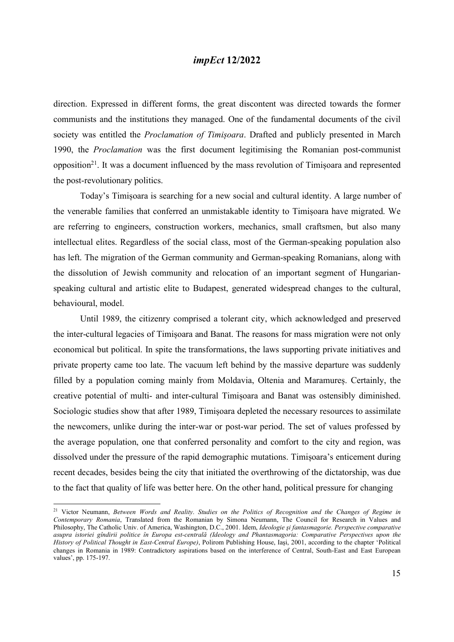direction. Expressed in different forms, the great discontent was directed towards the former communists and the institutions they managed. One of the fundamental documents of the civil society was entitled the *Proclamation of Timișoara*. Drafted and publicly presented in March 1990, the Proclamation was the first document legitimising the Romanian post-communist opposition<sup>21</sup>. It was a document influenced by the mass revolution of Timisoara and represented the post-revolutionary politics.

 Today's Timișoara is searching for a new social and cultural identity. A large number of the venerable families that conferred an unmistakable identity to Timișoara have migrated. We are referring to engineers, construction workers, mechanics, small craftsmen, but also many intellectual elites. Regardless of the social class, most of the German-speaking population also has left. The migration of the German community and German-speaking Romanians, along with the dissolution of Jewish community and relocation of an important segment of Hungarianspeaking cultural and artistic elite to Budapest, generated widespread changes to the cultural, behavioural, model.

 Until 1989, the citizenry comprised a tolerant city, which acknowledged and preserved the inter-cultural legacies of Timișoara and Banat. The reasons for mass migration were not only economical but political. In spite the transformations, the laws supporting private initiatives and private property came too late. The vacuum left behind by the massive departure was suddenly filled by a population coming mainly from Moldavia, Oltenia and Maramureș. Certainly, the creative potential of multi- and inter-cultural Timișoara and Banat was ostensibly diminished. Sociologic studies show that after 1989, Timișoara depleted the necessary resources to assimilate the newcomers, unlike during the inter-war or post-war period. The set of values professed by the average population, one that conferred personality and comfort to the city and region, was dissolved under the pressure of the rapid demographic mutations. Timișoara's enticement during recent decades, besides being the city that initiated the overthrowing of the dictatorship, was due to the fact that quality of life was better here. On the other hand, political pressure for changing

<sup>&</sup>lt;sup>21</sup> Victor Neumann, Between Words and Reality. Studies on the Politics of Recognition and the Changes of Regime in Contemporary Romania, Translated from the Romanian by Simona Neumann, The Council for Research in Values and Philosophy, The Catholic Univ. of America, Washington, D.C., 2001. Idem, Ideologie și fantasmagorie. Perspective comparative asupra istoriei gîndirii politice în Europa est-centrală (Ideology and Phantasmagoria: Comparative Perspectives upon the History of Political Thought in East-Central Europe), Polirom Publishing House, Iaşi, 2001, according to the chapter 'Political changes in Romania in 1989: Contradictory aspirations based on the interference of Central, South-East and East European values', pp. 175-197.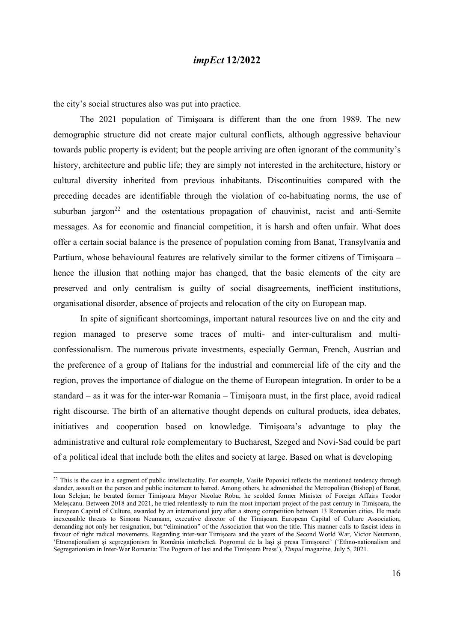the city's social structures also was put into practice.

 The 2021 population of Timișoara is different than the one from 1989. The new demographic structure did not create major cultural conflicts, although aggressive behaviour towards public property is evident; but the people arriving are often ignorant of the community's history, architecture and public life; they are simply not interested in the architecture, history or cultural diversity inherited from previous inhabitants. Discontinuities compared with the preceding decades are identifiable through the violation of co-habituating norms, the use of suburban jargon<sup>22</sup> and the ostentatious propagation of chauvinist, racist and anti-Semite messages. As for economic and financial competition, it is harsh and often unfair. What does offer a certain social balance is the presence of population coming from Banat, Transylvania and Partium, whose behavioural features are relatively similar to the former citizens of Timișoara – hence the illusion that nothing major has changed, that the basic elements of the city are preserved and only centralism is guilty of social disagreements, inefficient institutions, organisational disorder, absence of projects and relocation of the city on European map.

 In spite of significant shortcomings, important natural resources live on and the city and region managed to preserve some traces of multi- and inter-culturalism and multiconfessionalism. The numerous private investments, especially German, French, Austrian and the preference of a group of Italians for the industrial and commercial life of the city and the region, proves the importance of dialogue on the theme of European integration. In order to be a standard – as it was for the inter-war Romania – Timișoara must, in the first place, avoid radical right discourse. The birth of an alternative thought depends on cultural products, idea debates, initiatives and cooperation based on knowledge. Timișoara's advantage to play the administrative and cultural role complementary to Bucharest, Szeged and Novi-Sad could be part of a political ideal that include both the elites and society at large. Based on what is developing

 $22$  This is the case in a segment of public intellectuality. For example, Vasile Popovici reflects the mentioned tendency through slander, assault on the person and public incitement to hatred. Among others, he admonished the Metropolitan (Bishop) of Banat, Ioan Selejan; he berated former Timișoara Mayor Nicolae Robu; he scolded former Minister of Foreign Affairs Teodor Meleșcanu. Between 2018 and 2021, he tried relentlessly to ruin the most important project of the past century in Timișoara, the European Capital of Culture, awarded by an international jury after a strong competition between 13 Romanian cities. He made inexcusable threats to Simona Neumann, executive director of the Timișoara European Capital of Culture Association, demanding not only her resignation, but "elimination" of the Association that won the title. This manner calls to fascist ideas in favour of right radical movements. Regarding inter-war Timișoara and the years of the Second World War, Victor Neumann, 'Etnonaționalism și segregaționism în România interbelică. Pogromul de la Iași și presa Timișoarei' ('Ethno-nationalism and Segregationism in Inter-War Romania: The Pogrom of Iasi and the Timișoara Press'), Timpul magazine, July 5, 2021.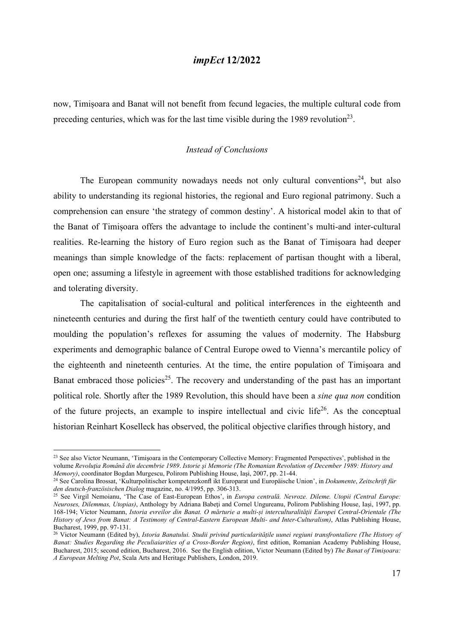now, Timișoara and Banat will not benefit from fecund legacies, the multiple cultural code from preceding centuries, which was for the last time visible during the 1989 revolution<sup>23</sup>.

#### Instead of Conclusions

The European community nowadays needs not only cultural conventions<sup>24</sup>, but also ability to understanding its regional histories, the regional and Euro regional patrimony. Such a comprehension can ensure 'the strategy of common destiny'. A historical model akin to that of the Banat of Timișoara offers the advantage to include the continent's multi-and inter-cultural realities. Re-learning the history of Euro region such as the Banat of Timișoara had deeper meanings than simple knowledge of the facts: replacement of partisan thought with a liberal, open one; assuming a lifestyle in agreement with those established traditions for acknowledging and tolerating diversity.

 The capitalisation of social-cultural and political interferences in the eighteenth and nineteenth centuries and during the first half of the twentieth century could have contributed to moulding the population's reflexes for assuming the values of modernity. The Habsburg experiments and demographic balance of Central Europe owed to Vienna's mercantile policy of the eighteenth and nineteenth centuries. At the time, the entire population of Timișoara and Banat embraced those policies<sup>25</sup>. The recovery and understanding of the past has an important political role. Shortly after the 1989 Revolution, this should have been a sine qua non condition of the future projects, an example to inspire intellectual and civic life<sup>26</sup>. As the conceptual historian Reinhart Koselleck has observed, the political objective clarifies through history, and

<sup>&</sup>lt;sup>23</sup> See also Victor Neumann, 'Timișoara in the Contemporary Collective Memory: Fragmented Perspectives', published in the volume Revoluția Română din decembrie 1989. Istorie și Memorie (The Romanian Revolution of December 1989: History and Memory), coordinator Bogdan Murgescu, Polirom Publishing House, Iaşi, 2007, pp. 21-44.

<sup>&</sup>lt;sup>24</sup> See Carolina Brossat, 'Kulturpolitischer kompetenzkonfl ikt Europarat und Europäische Union', in Dokumente, Zeitschrift für den deutsch-französischen Dialog magazine, no. 4/1995, pp. 306-313.

<sup>&</sup>lt;sup>25</sup> See Virgil Nemoianu, 'The Case of East-European Ethos', in *Europa centrală. Nevroze. Dileme. Utopii (Central Europe:* Neuroses, Dilemmas, Utopias), Anthology by Adriana Babeţi and Cornel Ungureanu, Polirom Publishing House, Iași, 1997, pp. 168-194; Victor Neumann, Istoria evreilor din Banat. O mărturie a multi-și interculturalităţii Europei Central-Orientale (The History of Jews from Banat: A Testimony of Central-Eastern European Multi- and Inter-Culturalism), Atlas Publishing House, Bucharest, 1999, pp. 97-131.

<sup>&</sup>lt;sup>26</sup> Victor Neumann (Edited by), *Istoria Banatului. Studii privind particularitățile uunei regiuni transfrontaliere (The History of* Banat: Studies Regarding the Peculiaiarities of a Cross-Border Region), first edition, Romanian Academy Publishing House, Bucharest, 2015; second edition, Bucharest, 2016. See the English edition, Victor Neumann (Edited by) The Banat of Timișoara: A European Melting Pot, Scala Arts and Heritage Publishers, London, 2019.